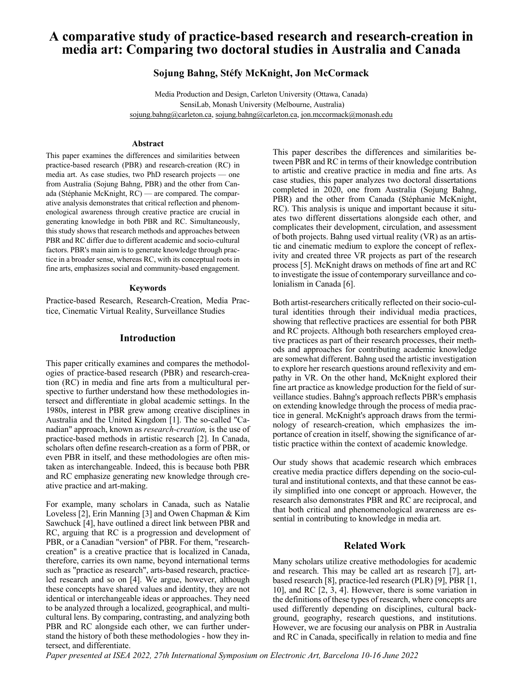# **A comparative study of practice-based research and research-creation in media art: Comparing two doctoral studies in Australia and Canada**

### **Sojung Bahng, Stéfy McKnight, Jon McCormack**

Media Production and Design, Carleton University (Ottawa, Canada) SensiLab, Monash University (Melbourne, Australia) sojung.bahng@carleton.ca, sojung.bahng@carleton.ca, jon.mccormack@monash.edu

#### **Abstract**

This paper examines the differences and similarities between practice-based research (PBR) and research-creation (RC) in media art. As case studies, two PhD research projects — one from Australia (Sojung Bahng, PBR) and the other from Canada (Stéphanie McKnight, RC) — are compared. The comparative analysis demonstrates that critical reflection and phenomenological awareness through creative practice are crucial in generating knowledge in both PBR and RC. Simultaneously, this study shows that research methods and approaches between PBR and RC differ due to different academic and socio-cultural factors. PBR's main aim is to generate knowledge through practice in a broader sense, whereas RC, with its conceptual roots in fine arts, emphasizes social and community-based engagement.

#### **Keywords**

Practice-based Research, Research-Creation, Media Practice, Cinematic Virtual Reality, Surveillance Studies

### **Introduction**

This paper critically examines and compares the methodologies of practice-based research (PBR) and research-creation (RC) in media and fine arts from a multicultural perspective to further understand how these methodologies intersect and differentiate in global academic settings. In the 1980s, interest in PBR grew among creative disciplines in Australia and the United Kingdom [1]. The so-called "Canadian" approach, known as *research-creation,* is the use of practice-based methods in artistic research [2]. In Canada, scholars often define research-creation as a form of PBR, or even PBR in itself, and these methodologies are often mistaken as interchangeable. Indeed, this is because both PBR and RC emphasize generating new knowledge through creative practice and art-making.

For example, many scholars in Canada, such as Natalie Loveless [2], Erin Manning [3] and Owen Chapman & Kim Sawchuck [4], have outlined a direct link between PBR and RC, arguing that RC is a progression and development of PBR, or a Canadian "version" of PBR. For them, "researchcreation" is a creative practice that is localized in Canada, therefore, carries its own name, beyond international terms such as "practice as research", arts-based research, practiceled research and so on [4]. We argue, however, although these concepts have shared values and identity, they are not identical or interchangeable ideas or approaches. They need to be analyzed through a localized, geographical, and multicultural lens. By comparing, contrasting, and analyzing both PBR and RC alongside each other, we can further understand the history of both these methodologies - how they intersect, and differentiate.

This paper describes the differences and similarities between PBR and RC in terms of their knowledge contribution to artistic and creative practice in media and fine arts. As case studies, this paper analyzes two doctoral dissertations completed in 2020, one from Australia (Sojung Bahng, PBR) and the other from Canada (Stéphanie McKnight, RC). This analysis is unique and important because it situates two different dissertations alongside each other, and complicates their development, circulation, and assessment of both projects. Bahng used virtual reality (VR) as an artistic and cinematic medium to explore the concept of reflexivity and created three VR projects as part of the research process [5]. McKnight draws on methods of fine art and RC to investigate the issue of contemporary surveillance and colonialism in Canada [6].

Both artist-researchers critically reflected on their socio-cultural identities through their individual media practices, showing that reflective practices are essential for both PBR and RC projects. Although both researchers employed creative practices as part of their research processes, their methods and approaches for contributing academic knowledge are somewhat different. Bahng used the artistic investigation to explore her research questions around reflexivity and empathy in VR. On the other hand, McKnight explored their fine art practice as knowledge production for the field of surveillance studies. Bahng's approach reflects PBR's emphasis on extending knowledge through the process of media practice in general. McKnight's approach draws from the terminology of research-creation, which emphasizes the importance of creation in itself, showing the significance of artistic practice within the context of academic knowledge.

Our study shows that academic research which embraces creative media practice differs depending on the socio-cultural and institutional contexts, and that these cannot be easily simplified into one concept or approach. However, the research also demonstrates PBR and RC are reciprocal, and that both critical and phenomenological awareness are essential in contributing to knowledge in media art.

### **Related Work**

Many scholars utilize creative methodologies for academic and research. This may be called art as research [7], artbased research [8], practice-led research (PLR) [9], PBR [1, 10], and RC [2, 3, 4]. However, there is some variation in the definitions of these types of research, where concepts are used differently depending on disciplines, cultural background, geography, research questions, and institutions. However, we are focusing our analysis on PBR in Australia and RC in Canada, specifically in relation to media and fine

*Paper presented at ISEA 2022, 27th International Symposium on Electronic Art, Barcelona 10-16 June 2022*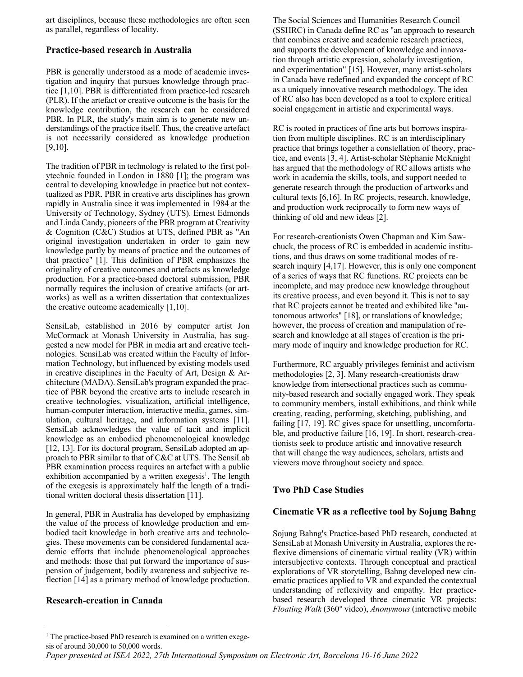art disciplines, because these methodologies are often seen as parallel, regardless of locality.

# **Practice-based research in Australia**

PBR is generally understood as a mode of academic investigation and inquiry that pursues knowledge through practice [1,10]. PBR is differentiated from practice-led research (PLR). If the artefact or creative outcome is the basis for the knowledge contribution, the research can be considered PBR. In PLR, the study's main aim is to generate new understandings of the practice itself. Thus, the creative artefact is not necessarily considered as knowledge production [9,10].

The tradition of PBR in technology is related to the first polytechnic founded in London in 1880 [1]; the program was central to developing knowledge in practice but not contextualized as PBR. PBR in creative arts disciplines has grown rapidly in Australia since it was implemented in 1984 at the University of Technology, Sydney (UTS). Ernest Edmonds and Linda Candy, pioneers of the PBR program at Creativity & Cognition (C&C) Studios at UTS, defined PBR as "An original investigation undertaken in order to gain new knowledge partly by means of practice and the outcomes of that practice" [1]. This definition of PBR emphasizes the originality of creative outcomes and artefacts as knowledge production. For a practice-based doctoral submission, PBR normally requires the inclusion of creative artifacts (or artworks) as well as a written dissertation that contextualizes the creative outcome academically [1,10].

SensiLab, established in 2016 by computer artist Jon McCormack at Monash University in Australia, has suggested a new model for PBR in media art and creative technologies. SensiLab was created within the Faculty of Information Technology, but influenced by existing models used in creative disciplines in the Faculty of Art, Design & Architecture (MADA). SensiLab's program expanded the practice of PBR beyond the creative arts to include research in creative technologies, visualization, artificial intelligence, human-computer interaction, interactive media, games, simulation, cultural heritage, and information systems [11]. SensiLab acknowledges the value of tacit and implicit knowledge as an embodied phenomenological knowledge [12, 13]. For its doctoral program, SensiLab adopted an approach to PBR similar to that of C&C at UTS. The SensiLab PBR examination process requires an artefact with a public exhibition accompanied by a written exegesis<sup>1</sup>. The length of the exegesis is approximately half the length of a traditional written doctoral thesis dissertation [11].

In general, PBR in Australia has developed by emphasizing the value of the process of knowledge production and embodied tacit knowledge in both creative arts and technologies. These movements can be considered fundamental academic efforts that include phenomenological approaches and methods: those that put forward the importance of suspension of judgement, bodily awareness and subjective reflection [14] as a primary method of knowledge production.

# **Research-creation in Canada**

The Social Sciences and Humanities Research Council (SSHRC) in Canada define RC as "an approach to research that combines creative and academic research practices, and supports the development of knowledge and innovation through artistic expression, scholarly investigation, and experimentation" [15]. However, many artist-scholars in Canada have redefined and expanded the concept of RC as a uniquely innovative research methodology. The idea of RC also has been developed as a tool to explore critical social engagement in artistic and experimental ways.

RC is rooted in practices of fine arts but borrows inspiration from multiple disciplines. RC is an interdisciplinary practice that brings together a constellation of theory, practice, and events [3, 4]. Artist-scholar Stéphanie McKnight has argued that the methodology of RC allows artists who work in academia the skills, tools, and support needed to generate research through the production of artworks and cultural texts [6,16]. In RC projects, research, knowledge, and production work reciprocally to form new ways of thinking of old and new ideas [2].

For research-creationists Owen Chapman and Kim Sawchuck, the process of RC is embedded in academic institutions, and thus draws on some traditional modes of research inquiry [4,17]. However, this is only one component of a series of ways that RC functions. RC projects can be incomplete, and may produce new knowledge throughout its creative process, and even beyond it. This is not to say that RC projects cannot be treated and exhibited like "autonomous artworks" [18], or translations of knowledge; however, the process of creation and manipulation of research and knowledge at all stages of creation is the primary mode of inquiry and knowledge production for RC.

Furthermore, RC arguably privileges feminist and activism methodologies [2, 3]. Many research-creationists draw knowledge from intersectional practices such as community-based research and socially engaged work. They speak to community members, install exhibitions, and think while creating, reading, performing, sketching, publishing, and failing [17, 19]. RC gives space for unsettling, uncomfortable, and productive failure [16, 19]. In short, research-creationists seek to produce artistic and innovative research that will change the way audiences, scholars, artists and viewers move throughout society and space.

# **Two PhD Case Studies**

# **Cinematic VR as a reflective tool by Sojung Bahng**

Sojung Bahng's Practice-based PhD research, conducted at SensiLab at Monash University in Australia, explores the reflexive dimensions of cinematic virtual reality (VR) within intersubjective contexts. Through conceptual and practical explorations of VR storytelling, Bahng developed new cinematic practices applied to VR and expanded the contextual understanding of reflexivity and empathy. Her practicebased research developed three cinematic VR projects: *Floating Walk* (360° video), *Anonymous* (interactive mobile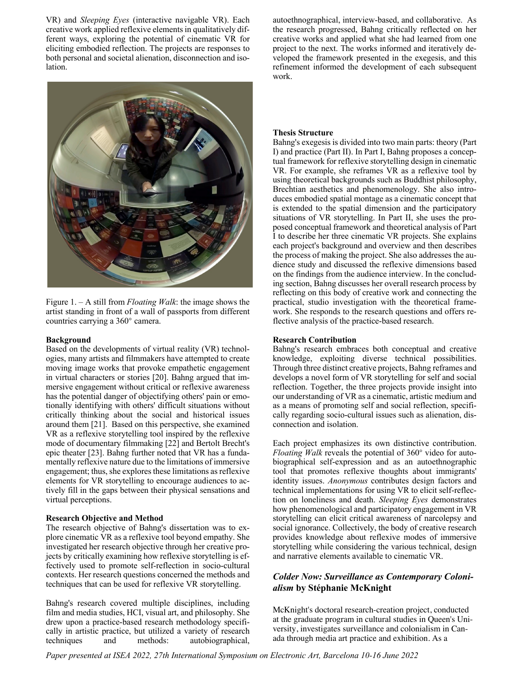VR) and *Sleeping Eyes* (interactive navigable VR). Each creative work applied reflexive elements in qualitatively different ways, exploring the potential of cinematic VR for eliciting embodied reflection. The projects are responses to both personal and societal alienation, disconnection and isolation.



Figure 1. – A still from *Floating Walk*: the image shows the artist standing in front of a wall of passports from different countries carrying a 360° camera.

#### **Background**

Based on the developments of virtual reality (VR) technologies, many artists and filmmakers have attempted to create moving image works that provoke empathetic engagement in virtual characters or stories [20]. Bahng argued that immersive engagement without critical or reflexive awareness has the potential danger of objectifying others' pain or emotionally identifying with others' difficult situations without critically thinking about the social and historical issues around them [21]. Based on this perspective, she examined VR as a reflexive storytelling tool inspired by the reflexive mode of documentary filmmaking [22] and Bertolt Brecht's epic theater [23]. Bahng further noted that VR has a fundamentally reflexive nature due to the limitations of immersive engagement; thus, she explores these limitations as reflexive elements for VR storytelling to encourage audiences to actively fill in the gaps between their physical sensations and virtual perceptions.

#### **Research Objective and Method**

The research objective of Bahng's dissertation was to explore cinematic VR as a reflexive tool beyond empathy. She investigated her research objective through her creative projects by critically examining how reflexive storytelling is effectively used to promote self-reflection in socio-cultural contexts. Her research questions concerned the methods and techniques that can be used for reflexive VR storytelling.

Bahng's research covered multiple disciplines, including film and media studies, HCI, visual art, and philosophy. She drew upon a practice-based research methodology specifically in artistic practice, but utilized a variety of research techniques and methods: autobiographical,

autoethnographical, interview-based, and collaborative. As the research progressed, Bahng critically reflected on her creative works and applied what she had learned from one project to the next. The works informed and iteratively developed the framework presented in the exegesis, and this refinement informed the development of each subsequent work.

#### **Thesis Structure**

Bahng's exegesis is divided into two main parts: theory (Part I) and practice (Part II). In Part I, Bahng proposes a conceptual framework for reflexive storytelling design in cinematic VR. For example, she reframes VR as a reflexive tool by using theoretical backgrounds such as Buddhist philosophy, Brechtian aesthetics and phenomenology. She also introduces embodied spatial montage as a cinematic concept that is extended to the spatial dimension and the participatory situations of VR storytelling. In Part II, she uses the proposed conceptual framework and theoretical analysis of Part I to describe her three cinematic VR projects. She explains each project's background and overview and then describes the process of making the project. She also addresses the audience study and discussed the reflexive dimensions based on the findings from the audience interview. In the concluding section, Bahng discusses her overall research process by reflecting on this body of creative work and connecting the practical, studio investigation with the theoretical framework. She responds to the research questions and offers reflective analysis of the practice-based research.

#### **Research Contribution**

Bahng's research embraces both conceptual and creative knowledge, exploiting diverse technical possibilities. Through three distinct creative projects, Bahng reframes and develops a novel form of VR storytelling for self and social reflection. Together, the three projects provide insight into our understanding of VR as a cinematic, artistic medium and as a means of promoting self and social reflection, specifically regarding socio-cultural issues such as alienation, disconnection and isolation.

Each project emphasizes its own distinctive contribution. *Floating Walk* reveals the potential of 360° video for autobiographical self-expression and as an autoethnographic tool that promotes reflexive thoughts about immigrants' identity issues. *Anonymous* contributes design factors and technical implementations for using VR to elicit self-reflection on loneliness and death. *Sleeping Eyes* demonstrates how phenomenological and participatory engagement in VR storytelling can elicit critical awareness of narcolepsy and social ignorance. Collectively, the body of creative research provides knowledge about reflexive modes of immersive storytelling while considering the various technical, design and narrative elements available to cinematic VR.

# *Colder Now: Surveillance as Contemporary Colonialism* **by Stéphanie McKnight**

McKnight's doctoral research-creation project, conducted at the graduate program in cultural studies in Queen's University, investigates surveillance and colonialism in Canada through media art practice and exhibition. As a

*Paper presented at ISEA 2022, 27th International Symposium on Electronic Art, Barcelona 10-16 June 2022*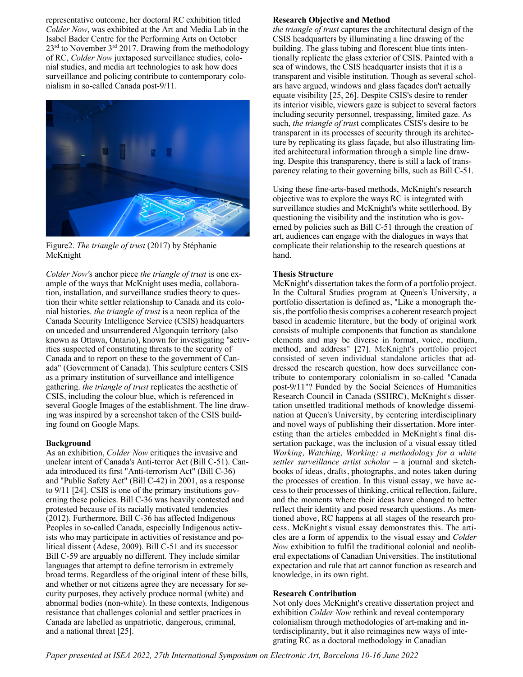representative outcome, her doctoral RC exhibition titled *Colder Now*, was exhibited at the Art and Media Lab in the Isabel Bader Centre for the Performing Arts on October 23<sup>rd</sup> to November 3<sup>rd</sup> 2017. Drawing from the methodology of RC, *Colder Now* juxtaposed surveillance studies, colonial studies, and media art technologies to ask how does surveillance and policing contribute to contemporary colonialism in so-called Canada post-9/11.



Figure2. *The triangle of trust* (2017) by Stéphanie McKnight

*Colder Now'*s anchor piece *the triangle of trust* is one example of the ways that McKnight uses media, collaboration, installation, and surveillance studies theory to question their white settler relationship to Canada and its colonial histories. *the triangle of trust* is a neon replica of the Canada Security Intelligence Service (CSIS) headquarters on unceded and unsurrendered Algonquin territory (also known as Ottawa, Ontario), known for investigating "activities suspected of constituting threats to the security of Canada and to report on these to the government of Canada" (Government of Canada). This sculpture centers CSIS as a primary institution of surveillance and intelligence gathering. *the triangle of trust* replicates the aesthetic of CSIS, including the colour blue, which is referenced in several Google Images of the establishment. The line drawing was inspired by a screenshot taken of the CSIS building found on Google Maps.

#### **Background**

As an exhibition, *Colder Now* critiques the invasive and unclear intent of Canada's Anti-terror Act (Bill C-51). Canada introduced its first "Anti-terrorism Act" (Bill C-36) and "Public Safety Act" (Bill C-42) in 2001, as a response to 9/11 [24]. CSIS is one of the primary institutions governing these policies. Bill C-36 was heavily contested and protested because of its racially motivated tendencies (2012). Furthermore, Bill C-36 has affected Indigenous Peoples in so-called Canada, especially Indigenous activists who may participate in activities of resistance and political dissent (Adese, 2009). Bill C-51 and its successor Bill C-59 are arguably no different. They include similar languages that attempt to define terrorism in extremely broad terms. Regardless of the original intent of these bills, and whether or not citizens agree they are necessary for security purposes, they actively produce normal (white) and abnormal bodies (non-white). In these contexts, Indigenous resistance that challenges colonial and settler practices in Canada are labelled as unpatriotic, dangerous, criminal, and a national threat [25].

### **Research Objective and Method**

*the triangle of trust* captures the architectural design of the CSIS headquarters by illuminating a line drawing of the building. The glass tubing and florescent blue tints intentionally replicate the glass exterior of CSIS. Painted with a sea of windows, the CSIS headquarter insists that it is a transparent and visible institution. Though as several scholars have argued, windows and glass façades don't actually equate visibility [25, 26]. Despite CSIS's desire to render its interior visible, viewers gaze is subject to several factors including security personnel, trespassing, limited gaze. As such, *the triangle of trus*t complicates CSIS's desire to be transparent in its processes of security through its architecture by replicating its glass façade, but also illustrating limited architectural information through a simple line drawing. Despite this transparency, there is still a lack of transparency relating to their governing bills, such as Bill C-51.

Using these fine-arts-based methods, McKnight's research objective was to explore the ways RC is integrated with surveillance studies and McKnight's white settlerhood. By questioning the visibility and the institution who is governed by policies such as Bill C-51 through the creation of art, audiences can engage with the dialogues in ways that complicate their relationship to the research questions at hand.

### **Thesis Structure**

McKnight's dissertation takes the form of a portfolio project. In the Cultural Studies program at Queen's University, a portfolio dissertation is defined as, "Like a monograph thesis, the portfolio thesis comprises a coherent research project based in academic literature, but the body of original work consists of multiple components that function as standalone elements and may be diverse in format, voice, medium, method, and address" [27]. McKnight's portfolio project consisted of seven individual standalone articles that addressed the research question, how does surveillance contribute to contemporary colonialism in so-called "Canada post-9/11"? Funded by the Social Sciences of Humanities Research Council in Canada (SSHRC), McKnight's dissertation unsettled traditional methods of knowledge dissemination at Queen's University, by centering interdisciplinary and novel ways of publishing their dissertation. More interesting than the articles embedded in McKnight's final dissertation package, was the inclusion of a visual essay titled *Working, Watching, Working: a methodology for a white settler surveillance artist scholar –* a journal and sketchbooks of ideas, drafts, photographs, and notes taken during the processes of creation. In this visual essay, we have access to their processes of thinking, critical reflection, failure, and the moments where their ideas have changed to better reflect their identity and posed research questions. As mentioned above, RC happens at all stages of the research process. McKnight's visual essay demonstrates this. The articles are a form of appendix to the visual essay and *Colder Now* exhibition to fulfil the traditional colonial and neoliberal expectations of Canadian Universities. The institutional expectation and rule that art cannot function as research and knowledge, in its own right.

### **Research Contribution**

Not only does McKnight's creative dissertation project and exhibition *Colder Now* rethink and reveal contemporary colonialism through methodologies of art-making and interdisciplinarity, but it also reimagines new ways of integrating RC as a doctoral methodology in Canadian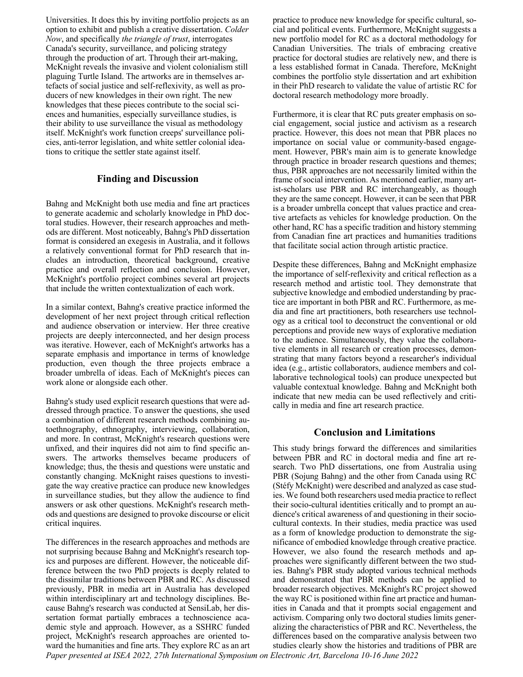Universities. It does this by inviting portfolio projects as an option to exhibit and publish a creative dissertation. *Colder Now*, and specifically *the triangle of trust*, interrogates Canada's security, surveillance, and policing strategy through the production of art. Through their art-making, McKnight reveals the invasive and violent colonialism still plaguing Turtle Island. The artworks are in themselves artefacts of social justice and self-reflexivity, as well as producers of new knowledges in their own right. The new knowledges that these pieces contribute to the social sciences and humanities, especially surveillance studies, is their ability to use surveillance the visual as methodology itself. McKnight's work function creeps' surveillance policies, anti-terror legislation, and white settler colonial ideations to critique the settler state against itself.

### **Finding and Discussion**

Bahng and McKnight both use media and fine art practices to generate academic and scholarly knowledge in PhD doctoral studies. However, their research approaches and methods are different. Most noticeably, Bahng's PhD dissertation format is considered an exegesis in Australia, and it follows a relatively conventional format for PhD research that includes an introduction, theoretical background, creative practice and overall reflection and conclusion. However, McKnight's portfolio project combines several art projects that include the written contextualization of each work.

In a similar context, Bahng's creative practice informed the development of her next project through critical reflection and audience observation or interview. Her three creative projects are deeply interconnected, and her design process was iterative. However, each of McKnight's artworks has a separate emphasis and importance in terms of knowledge production, even though the three projects embrace a broader umbrella of ideas. Each of McKnight's pieces can work alone or alongside each other.

Bahng's study used explicit research questions that were addressed through practice. To answer the questions, she used a combination of different research methods combining autoethnography, ethnography, interviewing, collaboration, and more. In contrast, McKnight's research questions were unfixed, and their inquires did not aim to find specific answers. The artworks themselves became producers of knowledge; thus, the thesis and questions were unstatic and constantly changing. McKnight raises questions to investigate the way creative practice can produce new knowledges in surveillance studies, but they allow the audience to find answers or ask other questions. McKnight's research methods and questions are designed to provoke discourse or elicit critical inquires.

The differences in the research approaches and methods are not surprising because Bahng and McKnight's research topics and purposes are different. However, the noticeable difference between the two PhD projects is deeply related to the dissimilar traditions between PBR and RC. As discussed previously, PBR in media art in Australia has developed within interdisciplinary art and technology disciplines. Because Bahng's research was conducted at SensiLab, her dissertation format partially embraces a technoscience academic style and approach. However, as a SSHRC funded project, McKnight's research approaches are oriented toward the humanities and fine arts. They explore RC as an art

practice to produce new knowledge for specific cultural, social and political events. Furthermore, McKnight suggests a new portfolio model for RC as a doctoral methodology for Canadian Universities. The trials of embracing creative practice for doctoral studies are relatively new, and there is a less established format in Canada. Therefore, McKnight combines the portfolio style dissertation and art exhibition in their PhD research to validate the value of artistic RC for doctoral research methodology more broadly.

Furthermore, it is clear that RC puts greater emphasis on social engagement, social justice and activism as a research practice. However, this does not mean that PBR places no importance on social value or community-based engagement. However, PBR's main aim is to generate knowledge through practice in broader research questions and themes; thus, PBR approaches are not necessarily limited within the frame of social intervention. As mentioned earlier, many artist-scholars use PBR and RC interchangeably, as though they are the same concept. However, it can be seen that PBR is a broader umbrella concept that values practice and creative artefacts as vehicles for knowledge production. On the other hand, RC has a specific tradition and history stemming from Canadian fine art practices and humanities traditions that facilitate social action through artistic practice.

Despite these differences, Bahng and McKnight emphasize the importance of self-reflexivity and critical reflection as a research method and artistic tool. They demonstrate that subjective knowledge and embodied understanding by practice are important in both PBR and RC. Furthermore, as media and fine art practitioners, both researchers use technology as a critical tool to deconstruct the conventional or old perceptions and provide new ways of explorative mediation to the audience. Simultaneously, they value the collaborative elements in all research or creation processes, demonstrating that many factors beyond a researcher's individual idea (e.g., artistic collaborators, audience members and collaborative technological tools) can produce unexpected but valuable contextual knowledge. Bahng and McKnight both indicate that new media can be used reflectively and critically in media and fine art research practice.

### **Conclusion and Limitations**

This study brings forward the differences and similarities between PBR and RC in doctoral media and fine art research. Two PhD dissertations, one from Australia using PBR (Sojung Bahng) and the other from Canada using RC (Stéfy McKnight) were described and analyzed as case studies. We found both researchers used media practice to reflect their socio-cultural identities critically and to prompt an audience's critical awareness of and questioning in their sociocultural contexts. In their studies, media practice was used as a form of knowledge production to demonstrate the significance of embodied knowledge through creative practice. However, we also found the research methods and approaches were significantly different between the two studies. Bahng's PBR study adopted various technical methods and demonstrated that PBR methods can be applied to broader research objectives. McKnight's RC project showed the way RC is positioned within fine art practice and humanities in Canada and that it prompts social engagement and activism. Comparing only two doctoral studies limits generalizing the characteristics of PBR and RC. Nevertheless, the differences based on the comparative analysis between two studies clearly show the histories and traditions of PBR are

*Paper presented at ISEA 2022, 27th International Symposium on Electronic Art, Barcelona 10-16 June 2022*